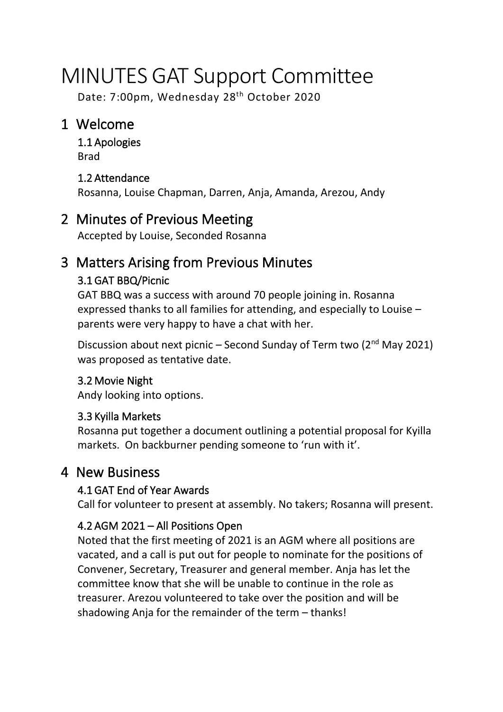# MINUTES GAT Support Committee

Date: 7:00pm, Wednesday 28<sup>th</sup> October 2020

# 1 Welcome

1.1 Apologies Brad

### 1.2 Attendance

Rosanna, Louise Chapman, Darren, Anja, Amanda, Arezou, Andy

# 2 Minutes of Previous Meeting

Accepted by Louise, Seconded Rosanna

# 3 Matters Arising from Previous Minutes

## 3.1 GAT BBQ/Picnic

GAT BBQ was a success with around 70 people joining in. Rosanna expressed thanks to all families for attending, and especially to Louise – parents were very happy to have a chat with her.

Discussion about next picnic – Second Sunday of Term two (2nd May 2021) was proposed as tentative date.

### 3.2 Movie Night

Andy looking into options.

### 3.3 Kyilla Markets

Rosanna put together a document outlining a potential proposal for Kyilla markets. On backburner pending someone to 'run with it'.

# 4 New Business

### 4.1 GAT End of Year Awards

Call for volunteer to present at assembly. No takers; Rosanna will present.

### 4.2 AGM 2021 – All Positions Open

Noted that the first meeting of 2021 is an AGM where all positions are vacated, and a call is put out for people to nominate for the positions of Convener, Secretary, Treasurer and general member. Anja has let the committee know that she will be unable to continue in the role as treasurer. Arezou volunteered to take over the position and will be shadowing Anja for the remainder of the term – thanks!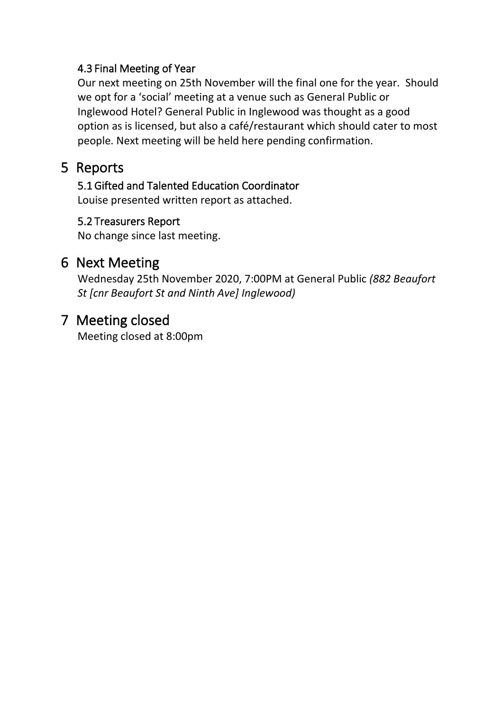### 4.3 Final Meeting of Year

Our next meeting on 25th November will the final one for the year. Should we opt for a 'social' meeting at a venue such as General Public or Inglewood Hotel? General Public in Inglewood was thought as a good option as is licensed, but also a café/restaurant which should cater to most people. Next meeting will be held here pending confirmation.

# 5 Reports

5.1 Gifted and Talented Education Coordinator

Louise presented written report as attached.

### 5.2 Treasurers Report

No change since last meeting.

# 6 Next Meeting

Wednesday 25th November 2020, 7:00PM at General Public *(882 Beaufort St [cnr Beaufort St and Ninth Ave] Inglewood)*

# 7 Meeting closed

Meeting closed at 8:00pm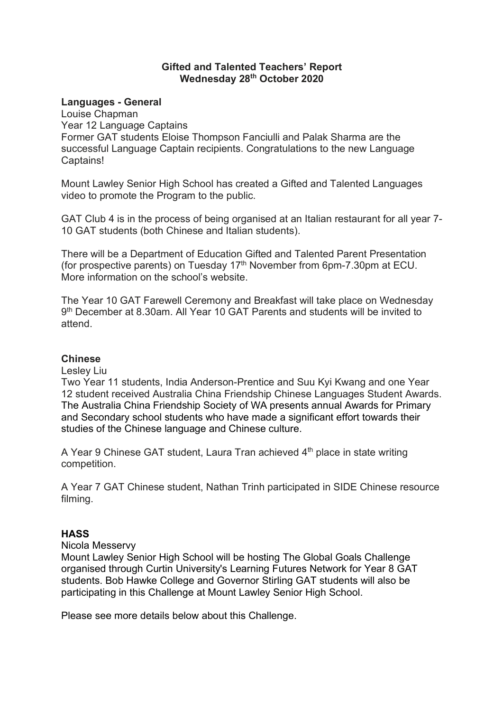#### **Gifted and Talented Teachers' Report Wednesday 28th October 2020**

#### **Languages - General**

Louise Chapman Year 12 Language Captains Former GAT students Eloise Thompson Fanciulli and Palak Sharma are the successful Language Captain recipients. Congratulations to the new Language Captains!

Mount Lawley Senior High School has created a Gifted and Talented Languages video to promote the Program to the public.

GAT Club 4 is in the process of being organised at an Italian restaurant for all year 7- 10 GAT students (both Chinese and Italian students).

There will be a Department of Education Gifted and Talented Parent Presentation (for prospective parents) on Tuesday  $17<sup>th</sup>$  November from 6pm-7.30pm at ECU. More information on the school's website.

The Year 10 GAT Farewell Ceremony and Breakfast will take place on Wednesday 9th December at 8.30am. All Year 10 GAT Parents and students will be invited to attend.

#### **Chinese**

Lesley Liu

Two Year 11 students, India Anderson-Prentice and Suu Kyi Kwang and one Year 12 student received Australia China Friendship Chinese Languages Student Awards. The Australia China Friendship Society of WA presents annual Awards for Primary and Secondary school students who have made a significant effort towards their studies of the Chinese language and Chinese culture.

A Year 9 Chinese GAT student, Laura Tran achieved  $4<sup>th</sup>$  place in state writing competition.

A Year 7 GAT Chinese student, Nathan Trinh participated in SIDE Chinese resource filming.

#### **HASS**

Nicola Messervy

Mount Lawley Senior High School will be hosting The Global Goals Challenge organised through Curtin University's Learning Futures Network for Year 8 GAT students. Bob Hawke College and Governor Stirling GAT students will also be participating in this Challenge at Mount Lawley Senior High School.

Please see more details below about this Challenge.